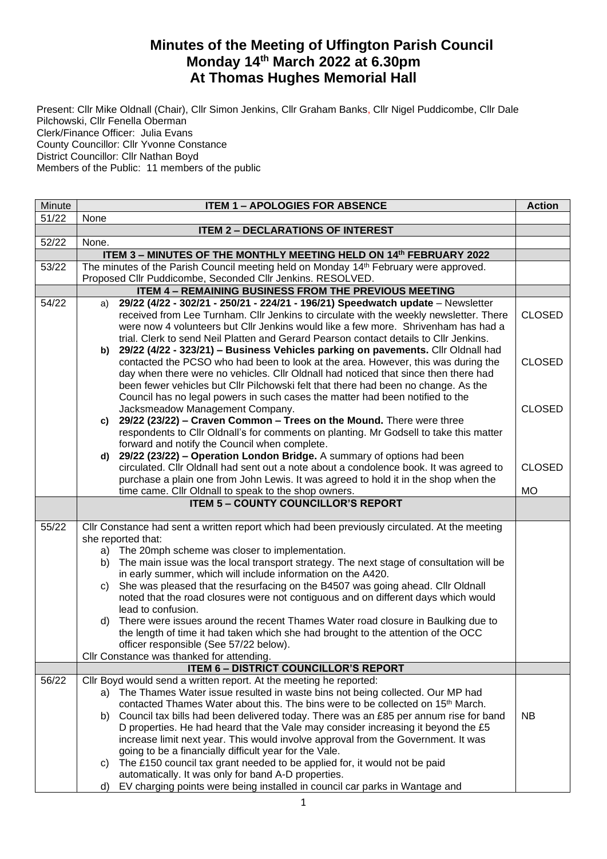## **Minutes of the Meeting of Uffington Parish Council Monday 14th March 2022 at 6.30pm At Thomas Hughes Memorial Hall**

Present: Cllr Mike Oldnall (Chair), Cllr Simon Jenkins, Cllr Graham Banks, Cllr Nigel Puddicombe, Cllr Dale Pilchowski, Cllr Fenella Oberman Clerk/Finance Officer: Julia Evans County Councillor: Cllr Yvonne Constance District Councillor: Cllr Nathan Boyd Members of the Public: 11 members of the public

| Minute | <b>ITEM 1 - APOLOGIES FOR ABSENCE</b><br><b>Action</b>                                                                                                                                                                                                                                                                                                                                                                                 |               |  |  |  |  |
|--------|----------------------------------------------------------------------------------------------------------------------------------------------------------------------------------------------------------------------------------------------------------------------------------------------------------------------------------------------------------------------------------------------------------------------------------------|---------------|--|--|--|--|
| 51/22  | None                                                                                                                                                                                                                                                                                                                                                                                                                                   |               |  |  |  |  |
|        | <b>ITEM 2 - DECLARATIONS OF INTEREST</b>                                                                                                                                                                                                                                                                                                                                                                                               |               |  |  |  |  |
| 52/22  | None.                                                                                                                                                                                                                                                                                                                                                                                                                                  |               |  |  |  |  |
|        | ITEM 3 - MINUTES OF THE MONTHLY MEETING HELD ON 14th FEBRUARY 2022                                                                                                                                                                                                                                                                                                                                                                     |               |  |  |  |  |
| 53/22  | The minutes of the Parish Council meeting held on Monday 14 <sup>th</sup> February were approved.                                                                                                                                                                                                                                                                                                                                      |               |  |  |  |  |
|        | Proposed Cllr Puddicombe, Seconded Cllr Jenkins. RESOLVED.                                                                                                                                                                                                                                                                                                                                                                             |               |  |  |  |  |
| 54/22  | ITEM 4 - REMAINING BUSINESS FROM THE PREVIOUS MEETING                                                                                                                                                                                                                                                                                                                                                                                  |               |  |  |  |  |
|        | 29/22 (4/22 - 302/21 - 250/21 - 224/21 - 196/21) Speedwatch update - Newsletter<br>a)<br>received from Lee Turnham. Cllr Jenkins to circulate with the weekly newsletter. There<br>were now 4 volunteers but Cllr Jenkins would like a few more. Shrivenham has had a<br>trial. Clerk to send Neil Platten and Gerard Pearson contact details to Cllr Jenkins.                                                                         | <b>CLOSED</b> |  |  |  |  |
|        | b) 29/22 (4/22 - 323/21) - Business Vehicles parking on pavements. Cllr Oldnall had<br>contacted the PCSO who had been to look at the area. However, this was during the<br>day when there were no vehicles. Cllr Oldnall had noticed that since then there had<br>been fewer vehicles but Cllr Pilchowski felt that there had been no change. As the<br>Council has no legal powers in such cases the matter had been notified to the | <b>CLOSED</b> |  |  |  |  |
|        | Jacksmeadow Management Company.<br>29/22 (23/22) - Craven Common - Trees on the Mound. There were three<br>C)<br>respondents to Cllr Oldnall's for comments on planting. Mr Godsell to take this matter<br>forward and notify the Council when complete.                                                                                                                                                                               | <b>CLOSED</b> |  |  |  |  |
|        | d) 29/22 (23/22) - Operation London Bridge. A summary of options had been<br>circulated. Cllr Oldnall had sent out a note about a condolence book. It was agreed to<br>purchase a plain one from John Lewis. It was agreed to hold it in the shop when the                                                                                                                                                                             | <b>CLOSED</b> |  |  |  |  |
|        | time came. Cllr Oldnall to speak to the shop owners.                                                                                                                                                                                                                                                                                                                                                                                   | <b>MO</b>     |  |  |  |  |
|        | <b>ITEM 5 - COUNTY COUNCILLOR'S REPORT</b>                                                                                                                                                                                                                                                                                                                                                                                             |               |  |  |  |  |
|        |                                                                                                                                                                                                                                                                                                                                                                                                                                        |               |  |  |  |  |
| 55/22  | CIIr Constance had sent a written report which had been previously circulated. At the meeting<br>she reported that:                                                                                                                                                                                                                                                                                                                    |               |  |  |  |  |
|        | The 20mph scheme was closer to implementation.<br>a)<br>The main issue was the local transport strategy. The next stage of consultation will be<br>b)                                                                                                                                                                                                                                                                                  |               |  |  |  |  |
|        | in early summer, which will include information on the A420.                                                                                                                                                                                                                                                                                                                                                                           |               |  |  |  |  |
|        | She was pleased that the resurfacing on the B4507 was going ahead. Cllr Oldnall<br>C)<br>noted that the road closures were not contiguous and on different days which would                                                                                                                                                                                                                                                            |               |  |  |  |  |
|        | lead to confusion.<br>There were issues around the recent Thames Water road closure in Baulking due to<br>d)<br>the length of time it had taken which she had brought to the attention of the OCC<br>officer responsible (See 57/22 below).                                                                                                                                                                                            |               |  |  |  |  |
|        | Cllr Constance was thanked for attending.                                                                                                                                                                                                                                                                                                                                                                                              |               |  |  |  |  |
|        | <b>ITEM 6 - DISTRICT COUNCILLOR'S REPORT</b>                                                                                                                                                                                                                                                                                                                                                                                           |               |  |  |  |  |
| 56/22  | Cllr Boyd would send a written report. At the meeting he reported:<br>a) The Thames Water issue resulted in waste bins not being collected. Our MP had<br>contacted Thames Water about this. The bins were to be collected on 15 <sup>th</sup> March.<br>Council tax bills had been delivered today. There was an £85 per annum rise for band<br>b)                                                                                    | NB.           |  |  |  |  |
|        | D properties. He had heard that the Vale may consider increasing it beyond the £5<br>increase limit next year. This would involve approval from the Government. It was<br>going to be a financially difficult year for the Vale.<br>The £150 council tax grant needed to be applied for, it would not be paid<br>C)<br>automatically. It was only for band A-D properties.                                                             |               |  |  |  |  |
|        | EV charging points were being installed in council car parks in Wantage and<br>d)                                                                                                                                                                                                                                                                                                                                                      |               |  |  |  |  |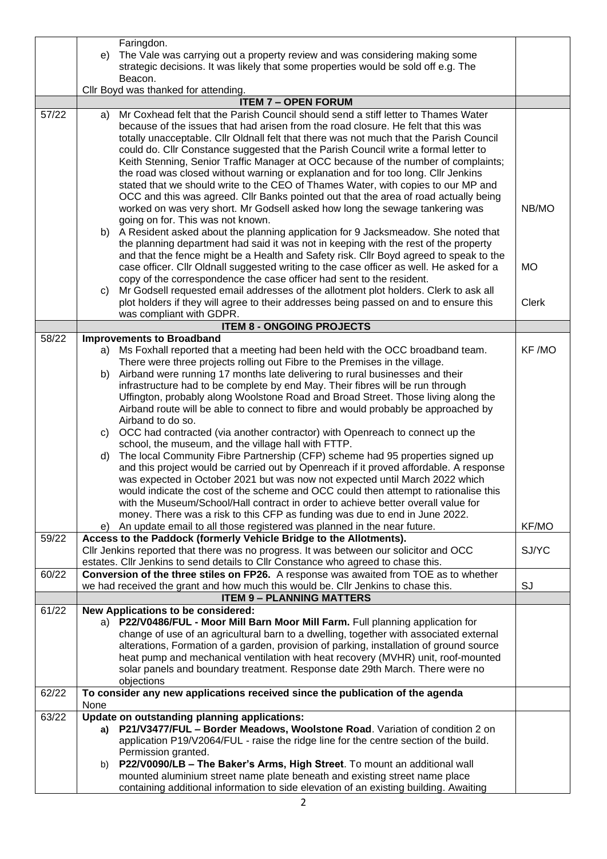|       | Faringdon.                                                                                 |              |
|-------|--------------------------------------------------------------------------------------------|--------------|
|       | The Vale was carrying out a property review and was considering making some<br>e)          |              |
|       | strategic decisions. It was likely that some properties would be sold off e.g. The         |              |
|       | Beacon.                                                                                    |              |
|       | Cllr Boyd was thanked for attending.                                                       |              |
|       | <b>ITEM 7 - OPEN FORUM</b>                                                                 |              |
| 57/22 | Mr Coxhead felt that the Parish Council should send a stiff letter to Thames Water<br>a)   |              |
|       | because of the issues that had arisen from the road closure. He felt that this was         |              |
|       | totally unacceptable. Cllr Oldnall felt that there was not much that the Parish Council    |              |
|       | could do. Cllr Constance suggested that the Parish Council write a formal letter to        |              |
|       | Keith Stenning, Senior Traffic Manager at OCC because of the number of complaints;         |              |
|       | the road was closed without warning or explanation and for too long. Cllr Jenkins          |              |
|       |                                                                                            |              |
|       | stated that we should write to the CEO of Thames Water, with copies to our MP and          |              |
|       | OCC and this was agreed. Cllr Banks pointed out that the area of road actually being       |              |
|       | worked on was very short. Mr Godsell asked how long the sewage tankering was               | NB/MO        |
|       | going on for. This was not known.                                                          |              |
|       | b) A Resident asked about the planning application for 9 Jacksmeadow. She noted that       |              |
|       | the planning department had said it was not in keeping with the rest of the property       |              |
|       | and that the fence might be a Health and Safety risk. Cllr Boyd agreed to speak to the     |              |
|       | case officer. Cllr Oldnall suggested writing to the case officer as well. He asked for a   | <b>MO</b>    |
|       | copy of the correspondence the case officer had sent to the resident.                      |              |
|       | Mr Godsell requested email addresses of the allotment plot holders. Clerk to ask all<br>C) |              |
|       | plot holders if they will agree to their addresses being passed on and to ensure this      | <b>Clerk</b> |
|       | was compliant with GDPR.                                                                   |              |
|       | <b>ITEM 8 - ONGOING PROJECTS</b>                                                           |              |
| 58/22 | <b>Improvements to Broadband</b>                                                           |              |
|       | Ms Foxhall reported that a meeting had been held with the OCC broadband team.<br>a)        | KF /MO       |
|       | There were three projects rolling out Fibre to the Premises in the village.                |              |
|       | Airband were running 17 months late delivering to rural businesses and their<br>b)         |              |
|       | infrastructure had to be complete by end May. Their fibres will be run through             |              |
|       | Uffington, probably along Woolstone Road and Broad Street. Those living along the          |              |
|       | Airband route will be able to connect to fibre and would probably be approached by         |              |
|       | Airband to do so.                                                                          |              |
|       | c) OCC had contracted (via another contractor) with Openreach to connect up the            |              |
|       | school, the museum, and the village hall with FTTP.                                        |              |
|       | The local Community Fibre Partnership (CFP) scheme had 95 properties signed up<br>d)       |              |
|       | and this project would be carried out by Openreach if it proved affordable. A response     |              |
|       | was expected in October 2021 but was now not expected until March 2022 which               |              |
|       | would indicate the cost of the scheme and OCC could then attempt to rationalise this       |              |
|       | with the Museum/School/Hall contract in order to achieve better overall value for          |              |
|       | money. There was a risk to this CFP as funding was due to end in June 2022.                |              |
|       | An update email to all those registered was planned in the near future.<br>e)              | KF/MO        |
| 59/22 | Access to the Paddock (formerly Vehicle Bridge to the Allotments).                         |              |
|       | CIIr Jenkins reported that there was no progress. It was between our solicitor and OCC     | SJ/YC        |
|       | estates. Cllr Jenkins to send details to Cllr Constance who agreed to chase this.          |              |
| 60/22 | Conversion of the three stiles on FP26. A response was awaited from TOE as to whether      |              |
|       | we had received the grant and how much this would be. Cllr Jenkins to chase this.          | SJ           |
|       | <b>ITEM 9 - PLANNING MATTERS</b>                                                           |              |
| 61/22 | <b>New Applications to be considered:</b>                                                  |              |
|       | a) P22/V0486/FUL - Moor Mill Barn Moor Mill Farm. Full planning application for            |              |
|       | change of use of an agricultural barn to a dwelling, together with associated external     |              |
|       | alterations, Formation of a garden, provision of parking, installation of ground source    |              |
|       | heat pump and mechanical ventilation with heat recovery (MVHR) unit, roof-mounted          |              |
|       | solar panels and boundary treatment. Response date 29th March. There were no               |              |
|       | objections                                                                                 |              |
| 62/22 | To consider any new applications received since the publication of the agenda              |              |
|       | None                                                                                       |              |
| 63/22 | Update on outstanding planning applications:                                               |              |
|       | a) P21/V3477/FUL - Border Meadows, Woolstone Road. Variation of condition 2 on             |              |
|       | application P19/V2064/FUL - raise the ridge line for the centre section of the build.      |              |
|       | Permission granted.                                                                        |              |
|       | P22/V0090/LB - The Baker's Arms, High Street. To mount an additional wall<br>b)            |              |
|       | mounted aluminium street name plate beneath and existing street name place                 |              |
|       | containing additional information to side elevation of an existing building. Awaiting      |              |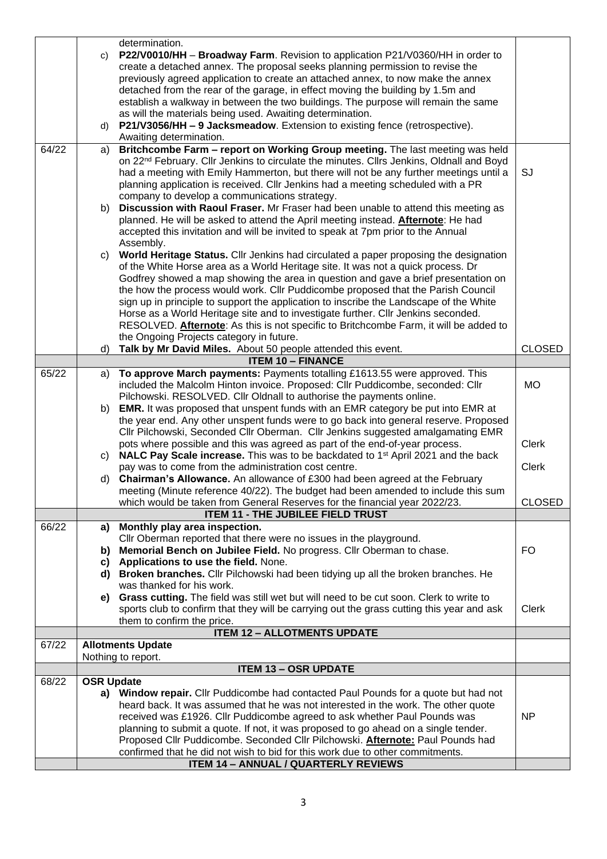|       |                   | determination.                                                                                                                                                         |               |
|-------|-------------------|------------------------------------------------------------------------------------------------------------------------------------------------------------------------|---------------|
|       | C)                | P22/V0010/HH - Broadway Farm. Revision to application P21/V0360/HH in order to                                                                                         |               |
|       |                   | create a detached annex. The proposal seeks planning permission to revise the                                                                                          |               |
|       |                   | previously agreed application to create an attached annex, to now make the annex                                                                                       |               |
|       |                   | detached from the rear of the garage, in effect moving the building by 1.5m and                                                                                        |               |
|       |                   | establish a walkway in between the two buildings. The purpose will remain the same                                                                                     |               |
|       |                   | as will the materials being used. Awaiting determination.                                                                                                              |               |
|       | d)                | P21/V3056/HH - 9 Jacksmeadow. Extension to existing fence (retrospective).                                                                                             |               |
|       |                   | Awaiting determination.                                                                                                                                                |               |
| 64/22 | a)                | Britchcombe Farm - report on Working Group meeting. The last meeting was held                                                                                          |               |
|       |                   | on 22 <sup>nd</sup> February. Cllr Jenkins to circulate the minutes. Cllrs Jenkins, Oldnall and Boyd                                                                   |               |
|       |                   | had a meeting with Emily Hammerton, but there will not be any further meetings until a                                                                                 | SJ            |
|       |                   | planning application is received. Cllr Jenkins had a meeting scheduled with a PR<br>company to develop a communications strategy.                                      |               |
|       | b)                | Discussion with Raoul Fraser. Mr Fraser had been unable to attend this meeting as                                                                                      |               |
|       |                   | planned. He will be asked to attend the April meeting instead. <b>Afternote</b> : He had                                                                               |               |
|       |                   | accepted this invitation and will be invited to speak at 7pm prior to the Annual                                                                                       |               |
|       |                   | Assembly.                                                                                                                                                              |               |
|       | C)                | World Heritage Status. Cllr Jenkins had circulated a paper proposing the designation                                                                                   |               |
|       |                   | of the White Horse area as a World Heritage site. It was not a quick process. Dr                                                                                       |               |
|       |                   | Godfrey showed a map showing the area in question and gave a brief presentation on                                                                                     |               |
|       |                   | the how the process would work. Cllr Puddicombe proposed that the Parish Council                                                                                       |               |
|       |                   | sign up in principle to support the application to inscribe the Landscape of the White                                                                                 |               |
|       |                   | Horse as a World Heritage site and to investigate further. Cllr Jenkins seconded.                                                                                      |               |
|       |                   | RESOLVED. Afternote: As this is not specific to Britchcombe Farm, it will be added to                                                                                  |               |
|       |                   | the Ongoing Projects category in future.                                                                                                                               | <b>CLOSED</b> |
|       | d)                | Talk by Mr David Miles. About 50 people attended this event.<br><b>ITEM 10 - FINANCE</b>                                                                               |               |
| 65/22 | a)                | To approve March payments: Payments totalling £1613.55 were approved. This                                                                                             |               |
|       |                   | included the Malcolm Hinton invoice. Proposed: Cllr Puddicombe, seconded: Cllr                                                                                         | <b>MO</b>     |
|       |                   | Pilchowski. RESOLVED. Cllr Oldnall to authorise the payments online.                                                                                                   |               |
|       | b)                | <b>EMR.</b> It was proposed that unspent funds with an EMR category be put into EMR at                                                                                 |               |
|       |                   | the year end. Any other unspent funds were to go back into general reserve. Proposed                                                                                   |               |
|       |                   | Cllr Pilchowski, Seconded Cllr Oberman. Cllr Jenkins suggested amalgamating EMR                                                                                        |               |
|       |                   | pots where possible and this was agreed as part of the end-of-year process.                                                                                            | Clerk         |
|       | C)                | NALC Pay Scale increase. This was to be backdated to 1 <sup>st</sup> April 2021 and the back                                                                           |               |
|       |                   | pay was to come from the administration cost centre.                                                                                                                   | <b>Clerk</b>  |
|       | d)                | <b>Chairman's Allowance.</b> An allowance of £300 had been agreed at the February<br>meeting (Minute reference 40/22). The budget had been amended to include this sum |               |
|       |                   | which would be taken from General Reserves for the financial year 2022/23.                                                                                             | <b>CLOSED</b> |
|       |                   | <b>ITEM 11 - THE JUBILEE FIELD TRUST</b>                                                                                                                               |               |
| 66/22 | a)                | Monthly play area inspection.                                                                                                                                          |               |
|       |                   | Cllr Oberman reported that there were no issues in the playground.                                                                                                     |               |
|       | b)                | Memorial Bench on Jubilee Field. No progress. Cllr Oberman to chase.                                                                                                   | <b>FO</b>     |
|       | C)                | Applications to use the field. None.                                                                                                                                   |               |
|       |                   | d) Broken branches. Cllr Pilchowski had been tidying up all the broken branches. He                                                                                    |               |
|       |                   | was thanked for his work.                                                                                                                                              |               |
|       | e)                | Grass cutting. The field was still wet but will need to be cut soon. Clerk to write to                                                                                 |               |
|       |                   | sports club to confirm that they will be carrying out the grass cutting this year and ask                                                                              | <b>Clerk</b>  |
|       |                   | them to confirm the price.<br><b>ITEM 12 - ALLOTMENTS UPDATE</b>                                                                                                       |               |
| 67/22 |                   | <b>Allotments Update</b>                                                                                                                                               |               |
|       |                   | Nothing to report.                                                                                                                                                     |               |
|       |                   | <b>ITEM 13 - OSR UPDATE</b>                                                                                                                                            |               |
| 68/22 | <b>OSR Update</b> |                                                                                                                                                                        |               |
|       |                   | a) Window repair. Cllr Puddicombe had contacted Paul Pounds for a quote but had not                                                                                    |               |
|       |                   | heard back. It was assumed that he was not interested in the work. The other quote                                                                                     |               |
|       |                   | received was £1926. Cllr Puddicombe agreed to ask whether Paul Pounds was                                                                                              | <b>NP</b>     |
|       |                   | planning to submit a quote. If not, it was proposed to go ahead on a single tender.                                                                                    |               |
|       |                   | Proposed Cllr Puddicombe. Seconded Cllr Pilchowski. Afternote: Paul Pounds had                                                                                         |               |
|       |                   | confirmed that he did not wish to bid for this work due to other commitments.<br><b>ITEM 14 - ANNUAL / QUARTERLY REVIEWS</b>                                           |               |
|       |                   |                                                                                                                                                                        |               |